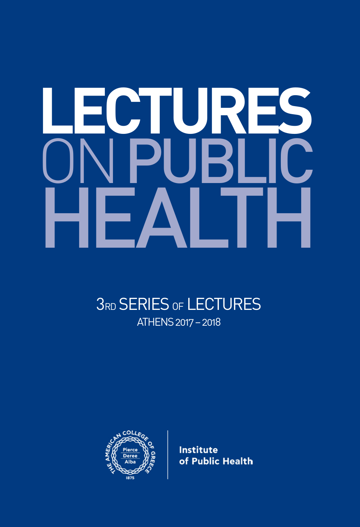# **LECTURES** HEALTH **ONPUBLIC**

### **3RD SERIES OF LECTURES** ATHENS 2017 – 2018



**Institute** of Public Health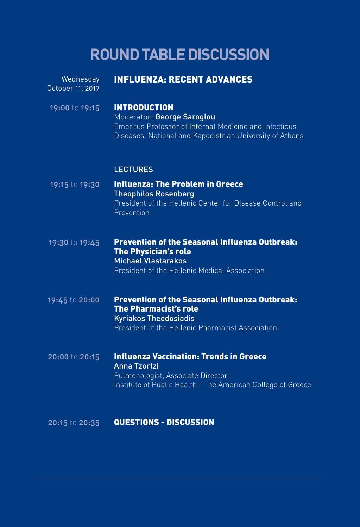## **ROUND TABLE DISCUSSION**

| Wednesday<br>October 11, 2017 | <b>INFLUENZA: RECENT ADVANCES</b>                                                                                                                                       |
|-------------------------------|-------------------------------------------------------------------------------------------------------------------------------------------------------------------------|
| 19:00 to 19:15                | <b>INTRODUCTION</b><br>Moderator: George Saroglou<br>Emeritus Professor of Internal Medicine and Infectious<br>Diseases, National and Kapodistrian University of Athens |
|                               | <b>LECTURES</b>                                                                                                                                                         |
| 19:15 to 19:30                | <b>Influenza: The Problem in Greece</b><br><b>Theophilos Rosenberg</b><br>President of the Hellenic Center for Disease Control and<br>Prevention                        |
| 19:30 to 19:45                | <b>Prevention of the Seasonal Influenza Outbreak:</b><br><b>The Physician's role</b><br><b>Michael Vlastarakos</b><br>President of the Hellenic Medical Association     |
| 19:45 to 20:00                | Prevention of the Seasonal Influenza Outbreak:<br><b>The Pharmacist's role</b><br><b>Kyriakos Theodosiadis</b><br>President of the Hellenic Pharmacist Association      |
| 20:00 to 20:15                | <b>Influenza Vaccination: Trends in Greece</b><br>Anna Tzortzi<br>Pulmonologist, Associate Director<br>Institute of Public Health - The American College of Greece      |
| 20:15 to 20:35                | <b>QUESTIONS - DISCUSSION</b>                                                                                                                                           |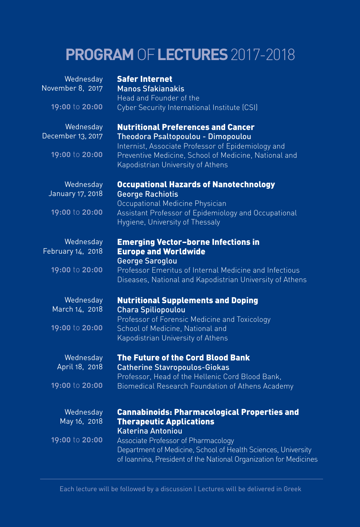## **PROGRAM** OF **LECTURES** 2017-2018

| Wednesday         | <b>Safer Internet</b>                                                                      |
|-------------------|--------------------------------------------------------------------------------------------|
| November 8, 2017  | <b>Manos Sfakianakis</b>                                                                   |
| 19:00 to 20:00    | Head and Founder of the                                                                    |
|                   | Cyber Security International Institute (CSI)                                               |
| Wednesday         | <b>Nutritional Preferences and Cancer</b>                                                  |
| December 13, 2017 | Theodora Psaltopoulou - Dimopoulou                                                         |
|                   | Internist, Associate Professor of Epidemiology and                                         |
| 19:00 to 20:00    | Preventive Medicine, School of Medicine, National and<br>Kapodistrian University of Athens |
| Wednesday         | <b>Occupational Hazards of Nanotechnology</b>                                              |
| January 17, 2018  | <b>George Rachiotis</b>                                                                    |
|                   | Occupational Medicine Physician                                                            |
| 19:00 to 20:00    | Assistant Professor of Epidemiology and Occupational                                       |
|                   | Hygiene, University of Thessaly                                                            |
| Wednesday         | <b>Emerging Vector-borne Infections in</b>                                                 |
| February 14, 2018 | <b>Europe and Worldwide</b>                                                                |
|                   | <b>George Saroglou</b>                                                                     |
| 19:00 to 20:00    | Professor Emeritus of Internal Medicine and Infectious                                     |
|                   | Diseases, National and Kapodistrian University of Athens                                   |
| Wednesday         | <b>Nutritional Supplements and Doping</b>                                                  |
| March 14, 2018    | <b>Chara Spiliopoulou</b>                                                                  |
|                   | Professor of Forensic Medicine and Toxicology                                              |
| 19:00 to 20:00    | School of Medicine, National and                                                           |
|                   | Kapodistrian University of Athens                                                          |
| Wednesday         | <b>The Future of the Cord Blood Bank</b>                                                   |
| April 18, 2018    | <b>Catherine Stavropoulos-Giokas</b>                                                       |
|                   | Professor, Head of the Hellenic Cord Blood Bank,                                           |
| 19:00 to 20:00    | Biomedical Research Foundation of Athens Academy                                           |
| Wednesday         | <b>Cannabinoids: Pharmacological Properties and</b>                                        |
| May 16, 2018      | <b>Therapeutic Applications</b>                                                            |
|                   | <b>Katerina Antoniou</b>                                                                   |
| 19:00 to 20:00    | Associate Professor of Pharmacology                                                        |
|                   | Department of Medicine, School of Health Sciences, University                              |
|                   | of Ioannina, President of the National Organization for Medicines                          |